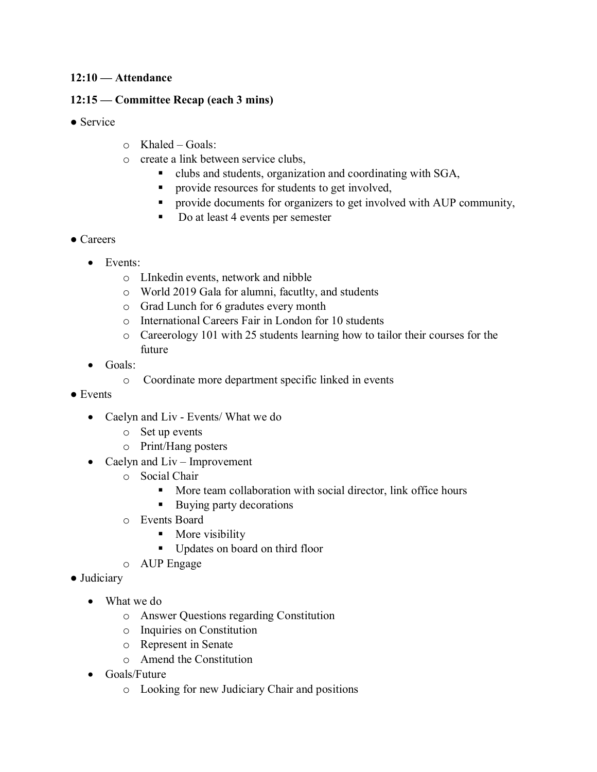#### **12:10 — Attendance**

#### **12:15 — Committee Recap (each 3 mins)**

- Service
- o Khaled Goals:
- o create a link between service clubs,
	- clubs and students, organization and coordinating with SGA,
	- provide resources for students to get involved,
	- provide documents for organizers to get involved with AUP community,
	- Do at least 4 events per semester
- Careers
	- Events:
		- o LInkedin events, network and nibble
		- o World 2019 Gala for alumni, facutlty, and students
		- o Grad Lunch for 6 gradutes every month
		- o International Careers Fair in London for 10 students
		- o Careerology 101 with 25 students learning how to tailor their courses for the future
	- Goals:
		- o Coordinate more department specific linked in events
- Events
	- Caelyn and Liv Events/ What we do
		- o Set up events
		- o Print/Hang posters
	- Caelyn and Liv Improvement
		- o Social Chair
			- More team collaboration with social director, link office hours
			- Buying party decorations
		- o Events Board
			- More visibility
			- Updates on board on third floor
		- o AUP Engage
- Judiciary
	- What we do
		- o Answer Questions regarding Constitution
		- o Inquiries on Constitution
		- o Represent in Senate
		- o Amend the Constitution
	- Goals/Future
		- o Looking for new Judiciary Chair and positions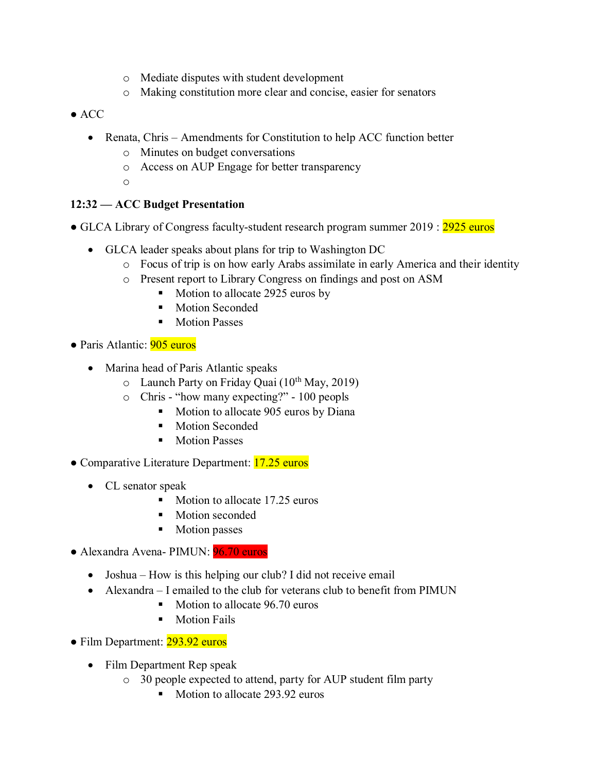- o Mediate disputes with student development
- o Making constitution more clear and concise, easier for senators
- ACC
	- Renata, Chris Amendments for Constitution to help ACC function better
		- o Minutes on budget conversations
		- o Access on AUP Engage for better transparency
		- o

# **12:32 — ACC Budget Presentation**

- GLCA Library of Congress faculty-student research program summer 2019 : 2925 euros
	- GLCA leader speaks about plans for trip to Washington DC
		- o Focus of trip is on how early Arabs assimilate in early America and their identity
		- o Present report to Library Congress on findings and post on ASM
			- Motion to allocate 2925 euros by
			- **Motion Seconded**
			- **Motion Passes**
- Paris Atlantic: 905 euros
	- Marina head of Paris Atlantic speaks
		- $\circ$  Launch Party on Friday Quai (10<sup>th</sup> May, 2019)
		- o Chris "how many expecting?" 100 peopls
			- Motion to allocate 905 euros by Diana
			- Motion Seconded
			- Motion Passes
- Comparative Literature Department: 17.25 euros
	- CL senator speak
		- Motion to allocate 17.25 euros
		- Motion seconded
		- Motion passes
- Alexandra Avena- PIMUN: 96.70 euros
	- Joshua How is this helping our club? I did not receive email
	- Alexandra I emailed to the club for veterans club to benefit from PIMUN
		- Motion to allocate 96.70 euros
		- **■** Motion Fails
- Film Department: 293.92 euros
	- Film Department Rep speak
		- o 30 people expected to attend, party for AUP student film party
			- Motion to allocate 293.92 euros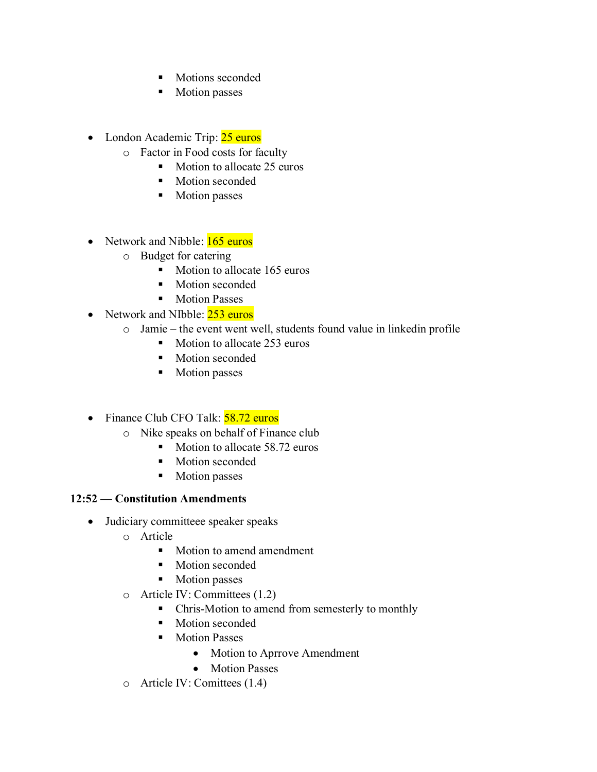- Motions seconded
- Motion passes
- London Academic Trip: 25 euros
	- o Factor in Food costs for faculty
		- Motion to allocate 25 euros
		- Motion seconded
		- Motion passes
- Network and Nibble: 165 euros
	- o Budget for catering
		- Motion to allocate 165 euros
		- Motion seconded
		- Motion Passes
- Network and NIbble: 253 euros
	- o Jamie the event went well, students found value in linkedin profile
		- Motion to allocate 253 euros
		- Motion seconded
		- Motion passes
- Finance Club CFO Talk: 58.72 euros
	- o Nike speaks on behalf of Finance club
		- Motion to allocate 58.72 euros
		- Motion seconded
		- Motion passes

### **12:52 — Constitution Amendments**

- Judiciary committeee speaker speaks
	- o Article
		- Motion to amend amendment
		- Motion seconded
		- Motion passes
	- o Article IV: Committees (1.2)
		- Chris-Motion to amend from semesterly to monthly
		- Motion seconded
		- Motion Passes
			- Motion to Aprrove Amendment
			- Motion Passes
	- o Article IV: Comittees (1.4)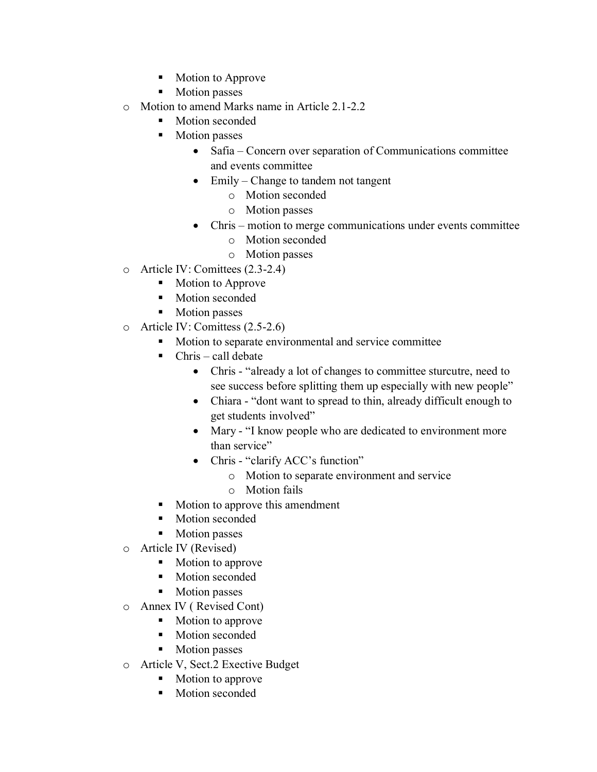- Motion to Approve
- Motion passes
- o Motion to amend Marks name in Article 2.1-2.2
	- Motion seconded
	- Motion passes
		- Safia Concern over separation of Communications committee and events committee
		- Emily Change to tandem not tangent
			- o Motion seconded
			- o Motion passes
		- Chris motion to merge communications under events committee
			- o Motion seconded
			- o Motion passes
- o Article IV: Comittees (2.3-2.4)
	- Motion to Approve
	- Motion seconded
	- Motion passes
- o Article IV: Comittess (2.5-2.6)
	- Motion to separate environmental and service committee
	- $\blacksquare$  Chris call debate
		- Chris "already a lot of changes to committee sturcutre, need to see success before splitting them up especially with new people"
		- Chiara "dont want to spread to thin, already difficult enough to get students involved"
		- Mary "I know people who are dedicated to environment more than service"
		- Chris "clarify ACC's function"
			- o Motion to separate environment and service
			- o Motion fails
	- Motion to approve this amendment
	- Motion seconded
	- Motion passes
- o Article IV (Revised)
	- Motion to approve
	- Motion seconded
	- Motion passes
- o Annex IV ( Revised Cont)
	- Motion to approve
	- Motion seconded
	- Motion passes
- o Article V, Sect.2 Exective Budget
	- Motion to approve
	- Motion seconded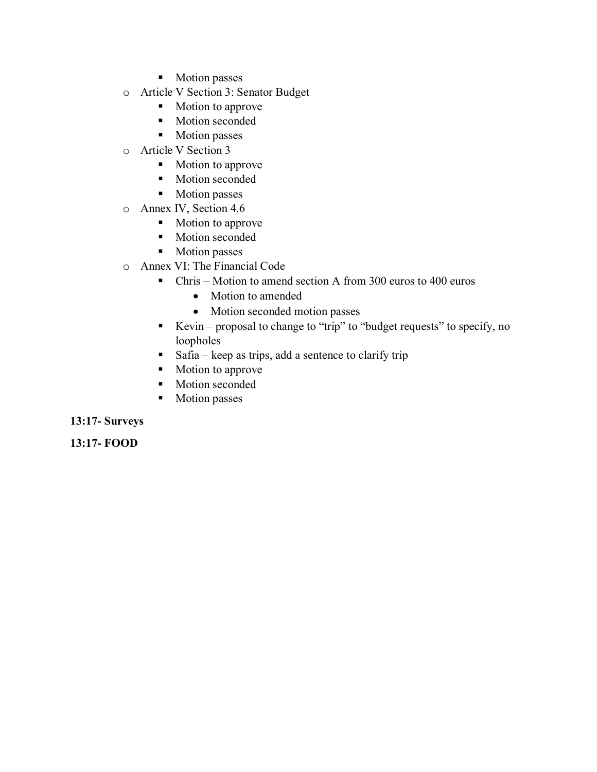- Motion passes
- o Article V Section 3: Senator Budget
	- Motion to approve
	- Motion seconded
	- Motion passes
- o Article V Section 3
	- Motion to approve
	- Motion seconded
	- Motion passes
- o Annex IV, Section 4.6
	- Motion to approve
	- Motion seconded
	- Motion passes
- o Annex VI: The Financial Code
	- Chris Motion to amend section A from 300 euros to 400 euros
		- Motion to amended
		- Motion seconded motion passes
	- Kevin proposal to change to "trip" to "budget requests" to specify, no loopholes
	- $\blacksquare$  Safia keep as trips, add a sentence to clarify trip
	- Motion to approve
	- Motion seconded
	- Motion passes

#### **13:17- Surveys**

**13:17- FOOD**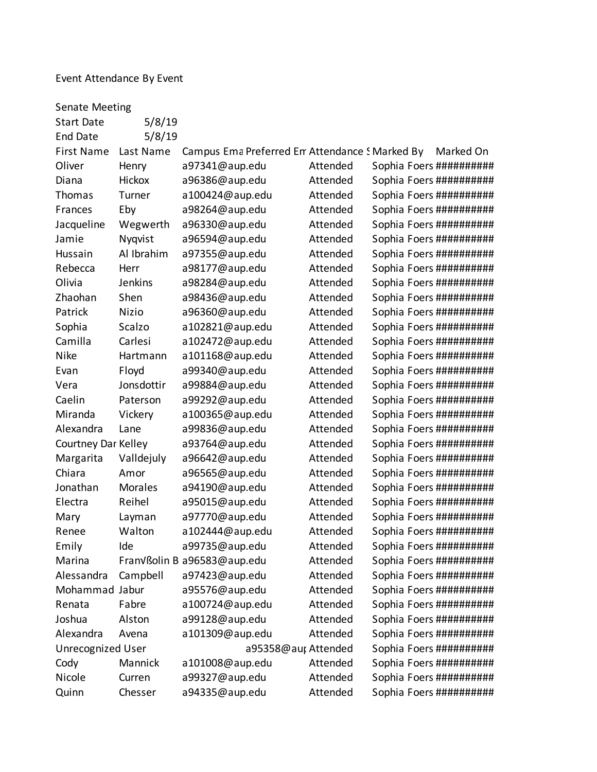# Event Attendance By Event

| <b>Senate Meeting</b>                                               |                |                                                |          |                          |           |  |  |
|---------------------------------------------------------------------|----------------|------------------------------------------------|----------|--------------------------|-----------|--|--|
| <b>Start Date</b>                                                   | 5/8/19         |                                                |          |                          |           |  |  |
| <b>End Date</b>                                                     | 5/8/19         |                                                |          |                          |           |  |  |
| <b>First Name</b>                                                   | Last Name      | Campus Ema Preferred Em Attendance S Marked By |          |                          | Marked On |  |  |
| Oliver                                                              | Henry          | a97341@aup.edu                                 | Attended | Sophia Foers ########### |           |  |  |
| Diana                                                               | <b>Hickox</b>  | a96386@aup.edu                                 | Attended | Sophia Foers ########### |           |  |  |
| Thomas                                                              | Turner         | a100424@aup.edu                                | Attended | Sophia Foers ########### |           |  |  |
| Frances                                                             | Eby            | a98264@aup.edu                                 | Attended | Sophia Foers ########### |           |  |  |
| Jacqueline                                                          | Wegwerth       | a96330@aup.edu                                 | Attended | Sophia Foers ########### |           |  |  |
| Jamie                                                               | Nyqvist        | a96594@aup.edu                                 | Attended | Sophia Foers ########### |           |  |  |
| Hussain                                                             | Al Ibrahim     | a97355@aup.edu                                 | Attended | Sophia Foers ########### |           |  |  |
| Rebecca                                                             | Herr           | a98177@aup.edu                                 | Attended | Sophia Foers ########### |           |  |  |
| Olivia                                                              | Jenkins        | a98284@aup.edu                                 | Attended | Sophia Foers ##########  |           |  |  |
| Zhaohan                                                             | Shen           | a98436@aup.edu                                 | Attended | Sophia Foers ########### |           |  |  |
| Patrick                                                             | <b>Nizio</b>   | a96360@aup.edu                                 | Attended | Sophia Foers ########### |           |  |  |
| Sophia                                                              | Scalzo         | a102821@aup.edu                                | Attended | Sophia Foers ########### |           |  |  |
| Camilla                                                             | Carlesi        | a102472@aup.edu                                | Attended | Sophia Foers ##########  |           |  |  |
| <b>Nike</b>                                                         | Hartmann       | a101168@aup.edu                                | Attended | Sophia Foers ########### |           |  |  |
| Evan                                                                | Floyd          | a99340@aup.edu                                 | Attended | Sophia Foers ########### |           |  |  |
| Vera                                                                | Jonsdottir     | a99884@aup.edu                                 | Attended | Sophia Foers ########### |           |  |  |
| Caelin                                                              | Paterson       | a99292@aup.edu                                 | Attended | Sophia Foers ########### |           |  |  |
| Miranda                                                             | Vickery        | a100365@aup.edu                                | Attended | Sophia Foers ########### |           |  |  |
| Alexandra                                                           | Lane           | a99836@aup.edu                                 | Attended | Sophia Foers ########### |           |  |  |
| Courtney Dar Kelley                                                 |                | a93764@aup.edu                                 | Attended | Sophia Foers ########### |           |  |  |
| Margarita                                                           | Valldejuly     | a96642@aup.edu                                 | Attended | Sophia Foers ########### |           |  |  |
| Chiara                                                              | Amor           | a96565@aup.edu                                 | Attended | Sophia Foers ########### |           |  |  |
| Jonathan                                                            | <b>Morales</b> | a94190@aup.edu                                 | Attended | Sophia Foers ########### |           |  |  |
| Electra                                                             | Reihel         | a95015@aup.edu                                 | Attended | Sophia Foers ########### |           |  |  |
| Mary                                                                | Layman         | a97770@aup.edu                                 | Attended | Sophia Foers ########### |           |  |  |
| Renee                                                               | Walton         | a102444@aup.edu                                | Attended | Sophia Foers ########### |           |  |  |
| Emily                                                               | Ide            | a99735@aup.edu                                 | Attended | Sophia Foers ##########  |           |  |  |
| Marina                                                              |                | Franvßolin B a96583@aup.edu                    | Attended | Sophia Foers ########### |           |  |  |
| Alessandra                                                          | Campbell       | a97423@aup.edu                                 | Attended | Sophia Foers ########### |           |  |  |
| Mohammad Jabur                                                      |                | a95576@aup.edu                                 | Attended | Sophia Foers ##########  |           |  |  |
| Renata                                                              | Fabre          | a100724@aup.edu                                | Attended | Sophia Foers ########### |           |  |  |
| Joshua                                                              | Alston         | a99128@aup.edu                                 | Attended | Sophia Foers ########### |           |  |  |
| Alexandra                                                           | Avena          | a101309@aup.edu                                | Attended | Sophia Foers ##########  |           |  |  |
| Sophia Foers ##########<br>Unrecognized User<br>a95358@aut Attended |                |                                                |          |                          |           |  |  |
| Cody                                                                | Mannick        | a101008@aup.edu                                | Attended | Sophia Foers ########### |           |  |  |
| Nicole                                                              | Curren         | a99327@aup.edu                                 | Attended | Sophia Foers ########### |           |  |  |
| Quinn                                                               | Chesser        | a94335@aup.edu                                 | Attended | Sophia Foers ##########  |           |  |  |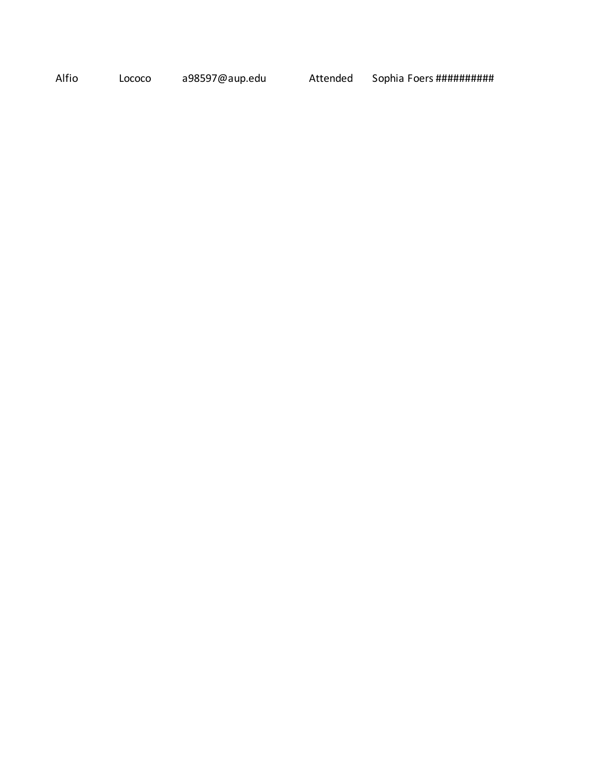Alfio Lococo a98597@aup.edu Attended Sophia Foers ###########